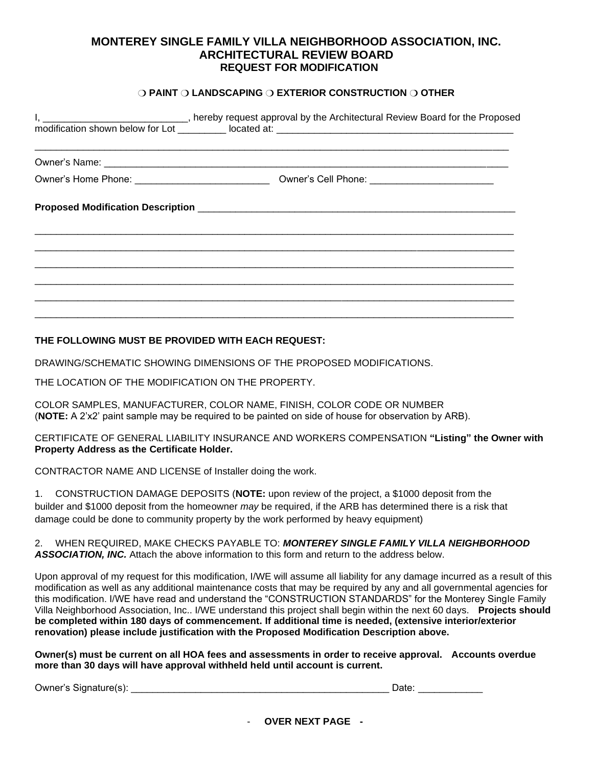# **MONTEREY SINGLE FAMILY VILLA NEIGHBORHOOD ASSOCIATION, INC. ARCHITECTURAL REVIEW BOARD REQUEST FOR MODIFICATION**

### ❍ **PAINT** ❍ **LANDSCAPING** ❍ **EXTERIOR CONSTRUCTION** ❍ **OTHER**

| I, 1. 2008 Contract to the Proposed modification shown below for Lot 1. All the proposed at: 2009 Contract 201<br>10 District Art 2009 Contract 2012 Contract 2013 Contract 2013 Contract 2013 Contract 2013 Contract 2013 Contr<br> |  |  |  |  |  |
|--------------------------------------------------------------------------------------------------------------------------------------------------------------------------------------------------------------------------------------|--|--|--|--|--|
|                                                                                                                                                                                                                                      |  |  |  |  |  |
|                                                                                                                                                                                                                                      |  |  |  |  |  |
|                                                                                                                                                                                                                                      |  |  |  |  |  |
|                                                                                                                                                                                                                                      |  |  |  |  |  |
|                                                                                                                                                                                                                                      |  |  |  |  |  |

## **THE FOLLOWING MUST BE PROVIDED WITH EACH REQUEST:**

DRAWING/SCHEMATIC SHOWING DIMENSIONS OF THE PROPOSED MODIFICATIONS.

THE LOCATION OF THE MODIFICATION ON THE PROPERTY.

COLOR SAMPLES, MANUFACTURER, COLOR NAME, FINISH, COLOR CODE OR NUMBER (**NOTE:** A 2'x2' paint sample may be required to be painted on side of house for observation by ARB).

CERTIFICATE OF GENERAL LIABILITY INSURANCE AND WORKERS COMPENSATION **"Listing" the Owner with Property Address as the Certificate Holder.**

CONTRACTOR NAME AND LICENSE of Installer doing the work.

1. CONSTRUCTION DAMAGE DEPOSITS (**NOTE:** upon review of the project, a \$1000 deposit from the builder and \$1000 deposit from the homeowner *may* be required, if the ARB has determined there is a risk that damage could be done to community property by the work performed by heavy equipment)

2. WHEN REQUIRED, MAKE CHECKS PAYABLE TO: *MONTEREY SINGLE FAMILY VILLA NEIGHBORHOOD ASSOCIATION, INC.* Attach the above information to this form and return to the address below.

Upon approval of my request for this modification, I/WE will assume all liability for any damage incurred as a result of this modification as well as any additional maintenance costs that may be required by any and all governmental agencies for this modification. I/WE have read and understand the "CONSTRUCTION STANDARDS" for the Monterey Single Family Villa Neighborhood Association, Inc.. I/WE understand this project shall begin within the next 60 days. **Projects should be completed within 180 days of commencement. If additional time is needed, (extensive interior/exterior renovation) please include justification with the Proposed Modification Description above.** 

**Owner(s) must be current on all HOA fees and assessments in order to receive approval. Accounts overdue more than 30 days will have approval withheld held until account is current.**

Owner's Signature(s): \_\_\_\_\_\_\_\_\_\_\_\_\_\_\_\_\_\_\_\_\_\_\_\_\_\_\_\_\_\_\_\_\_\_\_\_\_\_\_\_\_\_\_\_\_\_\_\_ Date: \_\_\_\_\_\_\_\_\_\_\_\_

- **OVER NEXT PAGE -**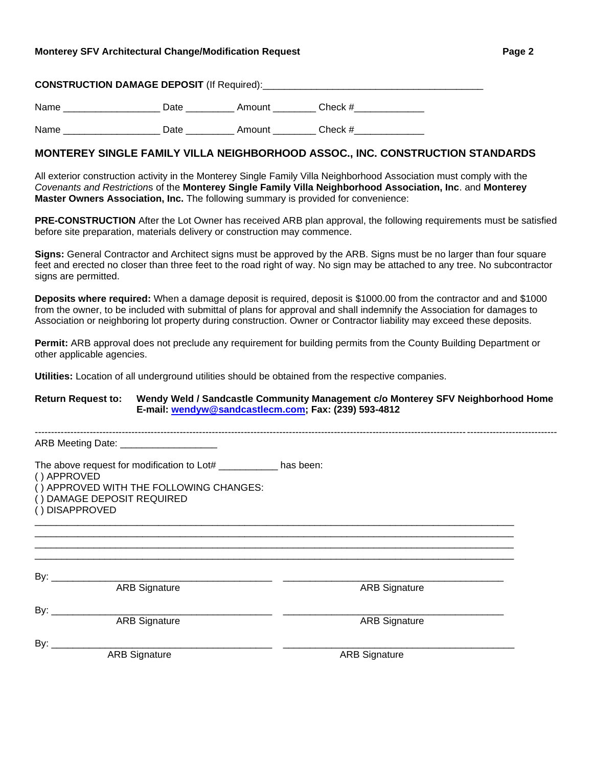#### **Monterey SFV Architectural Change/Modification Request Page 2**

| <b>CONSTRUCTION DAMAGE DEPOSIT (If Required):</b> |  |  |
|---------------------------------------------------|--|--|
|                                                   |  |  |

Name \_\_\_\_\_\_\_\_\_\_\_\_\_\_\_\_\_\_\_\_\_\_ Date \_\_\_\_\_\_\_\_\_\_\_\_ Amount \_\_\_\_\_\_\_\_ Check # \_\_\_\_\_\_\_\_\_\_

Name Date Date Amount Check #

## **MONTEREY SINGLE FAMILY VILLA NEIGHBORHOOD ASSOC., INC. CONSTRUCTION STANDARDS**

All exterior construction activity in the Monterey Single Family Villa Neighborhood Association must comply with the *Covenants and Restriction*s of the **Monterey Single Family Villa Neighborhood Association, Inc**. and **Monterey Master Owners Association, Inc.** The following summary is provided for convenience:

**PRE-CONSTRUCTION** After the Lot Owner has received ARB plan approval, the following requirements must be satisfied before site preparation, materials delivery or construction may commence.

**Signs:** General Contractor and Architect signs must be approved by the ARB. Signs must be no larger than four square feet and erected no closer than three feet to the road right of way. No sign may be attached to any tree. No subcontractor signs are permitted.

**Deposits where required:** When a damage deposit is required, deposit is \$1000.00 from the contractor and and \$1000 from the owner, to be included with submittal of plans for approval and shall indemnify the Association for damages to Association or neighboring lot property during construction. Owner or Contractor liability may exceed these deposits.

**Permit:** ARB approval does not preclude any requirement for building permits from the County Building Department or other applicable agencies.

**Utilities:** Location of all underground utilities should be obtained from the respective companies.

**Return Request to: Wendy Weld / Sandcastle Community Management c/o Monterey SFV Neighborhood Home E-mail: wendyw@sandcastlecm.com; Fax: (239) 593-4812**

------------------------------------------------------------------------------------------------------------------------------------------------------------------

ARB Meeting Date: \_\_\_\_\_\_\_\_\_\_\_

The above request for modification to Lot# has been:

( ) APPROVED

( ) APPROVED WITH THE FOLLOWING CHANGES:

( ) DAMAGE DEPOSIT REQUIRED

( ) DISAPPROVED

By: \_\_\_\_\_\_\_\_\_\_\_\_\_\_\_\_\_\_\_\_\_\_\_\_\_\_\_\_\_\_\_\_\_\_\_\_\_\_\_\_\_ \_\_\_\_\_\_\_\_\_\_\_\_\_\_\_\_\_\_\_\_\_\_\_\_\_\_\_\_\_\_\_\_\_\_\_\_\_\_\_\_\_ ARB Signature By: \_\_\_\_\_\_\_\_\_\_\_\_\_\_\_\_\_\_\_\_\_\_\_\_\_\_\_\_\_\_\_\_\_\_\_\_\_\_\_\_\_ \_\_\_\_\_\_\_\_\_\_\_\_\_\_\_\_\_\_\_\_\_\_\_\_\_\_\_\_\_\_\_\_\_\_\_\_\_\_\_\_\_ ARB Signature **ARB** Signature By: \_\_\_\_\_\_\_\_\_\_\_\_\_\_\_\_\_\_\_\_\_\_\_\_\_\_\_\_\_\_\_\_\_\_\_\_\_\_\_\_\_ \_\_\_\_\_\_\_\_\_\_\_\_\_\_\_\_\_\_\_\_\_\_\_\_\_\_\_\_\_\_\_\_\_\_\_\_\_\_\_\_\_\_\_ ARB Signature **ARB Signature** ARB Signature

\_\_\_\_\_\_\_\_\_\_\_\_\_\_\_\_\_\_\_\_\_\_\_\_\_\_\_\_\_\_\_\_\_\_\_\_\_\_\_\_\_\_\_\_\_\_\_\_\_\_\_\_\_\_\_\_\_\_\_\_\_\_\_\_\_\_\_\_\_\_\_\_\_\_\_\_\_\_\_\_\_\_\_\_\_\_\_\_\_ \_\_\_\_\_\_\_\_\_\_\_\_\_\_\_\_\_\_\_\_\_\_\_\_\_\_\_\_\_\_\_\_\_\_\_\_\_\_\_\_\_\_\_\_\_\_\_\_\_\_\_\_\_\_\_\_\_\_\_\_\_\_\_\_\_\_\_\_\_\_\_\_\_\_\_\_\_\_\_\_\_\_\_\_\_\_\_\_\_ \_\_\_\_\_\_\_\_\_\_\_\_\_\_\_\_\_\_\_\_\_\_\_\_\_\_\_\_\_\_\_\_\_\_\_\_\_\_\_\_\_\_\_\_\_\_\_\_\_\_\_\_\_\_\_\_\_\_\_\_\_\_\_\_\_\_\_\_\_\_\_\_\_\_\_\_\_\_\_\_\_\_\_\_\_\_\_\_\_ \_\_\_\_\_\_\_\_\_\_\_\_\_\_\_\_\_\_\_\_\_\_\_\_\_\_\_\_\_\_\_\_\_\_\_\_\_\_\_\_\_\_\_\_\_\_\_\_\_\_\_\_\_\_\_\_\_\_\_\_\_\_\_\_\_\_\_\_\_\_\_\_\_\_\_\_\_\_\_\_\_\_\_\_\_\_\_\_\_